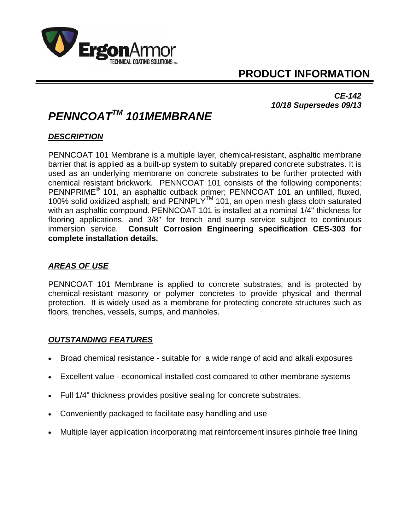

# **PRODUCT INFORMATION**

*CE-142 10/18 Supersedes 09/13* 

# *PENNCOATTM 101MEMBRANE*

## *DESCRIPTION*

PENNCOAT 101 Membrane is a multiple layer, chemical-resistant, asphaltic membrane barrier that is applied as a built-up system to suitably prepared concrete substrates. It is used as an underlying membrane on concrete substrates to be further protected with chemical resistant brickwork. PENNCOAT 101 consists of the following components: PENNPRIME® 101, an asphaltic cutback primer; PENNCOAT 101 an unfilled, fluxed, 100% solid oxidized asphalt; and PENNPLY<sup>™</sup> 101, an open mesh glass cloth saturated with an asphaltic compound. PENNCOAT 101 is installed at a nominal 1/4" thickness for flooring applications, and 3/8" for trench and sump service subject to continuous immersion service. **Consult Corrosion Engineering specification CES-303 for complete installation details.**

#### *AREAS OF USE*

PENNCOAT 101 Membrane is applied to concrete substrates, and is protected by chemical-resistant masonry or polymer concretes to provide physical and thermal protection. It is widely used as a membrane for protecting concrete structures such as floors, trenches, vessels, sumps, and manholes.

#### *OUTSTANDING FEATURES*

- Broad chemical resistance suitable for a wide range of acid and alkali exposures
- Excellent value economical installed cost compared to other membrane systems
- Full 1/4" thickness provides positive sealing for concrete substrates.
- Conveniently packaged to facilitate easy handling and use
- Multiple layer application incorporating mat reinforcement insures pinhole free lining